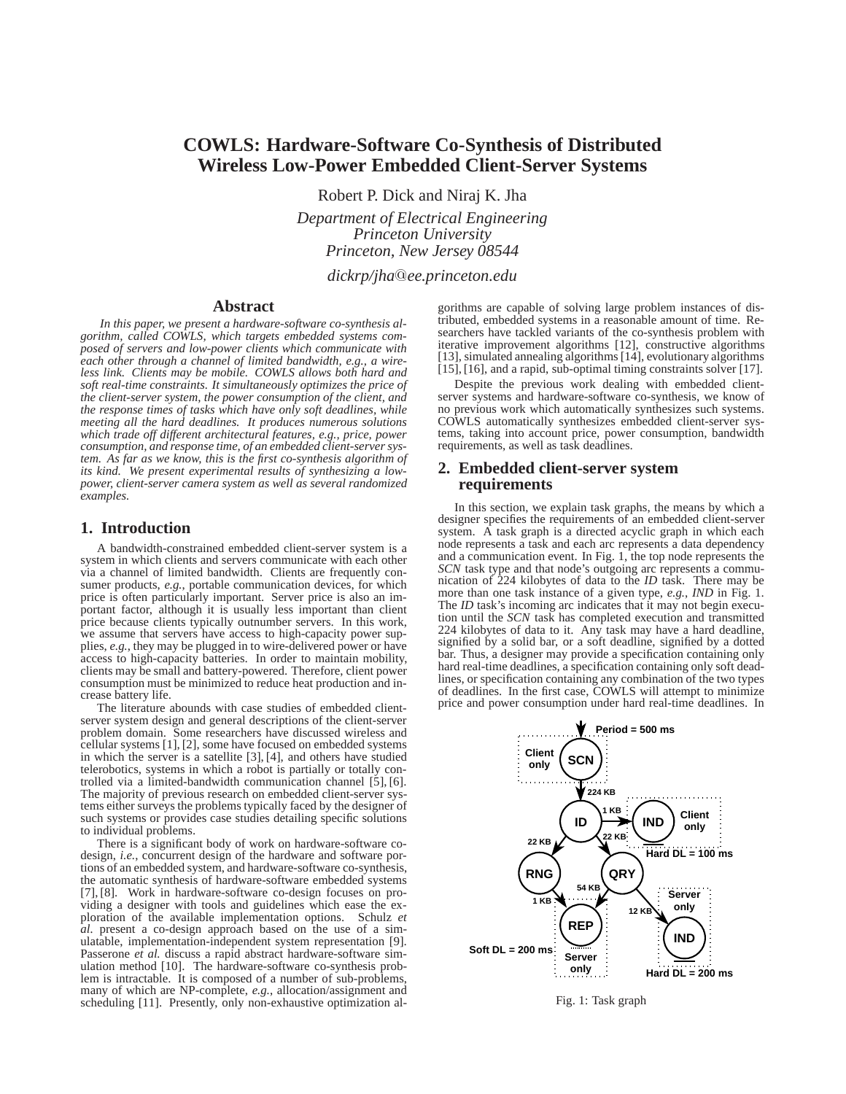# **COWLS: Hardware-Software Co-Synthesis of Distributed Wireless Low-Power Embedded Client-Server Systems**

Robert P. Dick and Niraj K. Jha

*Department of Electrical Engineering Princeton University Princeton, New Jersey 08544*

*dickrp/jhaee.princeton.edu*

# **Abstract**

*In this paper, we present a hardware-software co-synthesis algorithm, called COWLS, which targets embedded systems composed of servers and low-power clients which communicate with each other through a channel of limited bandwidth, e.g., a wireless link. Clients may be mobile. COWLS allows both hard and soft real-time constraints. It simultaneously optimizes the price of the client-server system, the power consumption of the client, and the response times of tasks which have only soft deadlines, while meeting all the hard deadlines. It produces numerous solutions which trade off different architectural features, e.g., price, power consumption, and response time, of an embedded client-server system. As far as we know, this is the first co-synthesis algorithm of its kind. We present experimental results of synthesizing a lowpower, client-server camera system as well as several randomized examples.*

# **1. Introduction**

A bandwidth-constrained embedded client-server system is a system in which clients and servers communicate with each other via a channel of limited bandwidth. Clients are frequently consumer products, *e.g.*, portable communication devices, for which price is often particularly important. Server price is also an important factor, although it is usually less important than client price because clients typically outnumber servers. In this work, we assume that servers have access to high-capacity power supplies, *e.g.*, they may be plugged in to wire-delivered power or have access to high-capacity batteries. In order to maintain mobility, clients may be small and battery-powered. Therefore, client power consumption must be minimized to reduce heat production and increase battery life.

The literature abounds with case studies of embedded clientserver system design and general descriptions of the client-server problem domain. Some researchers have discussed wireless and cellular systems [1], [2], some have focused on embedded systems in which the server is a satellite [3], [4], and others have studied telerobotics, systems in which a robot is partially or totally controlled via a limited-bandwidth communication channel [5], [6]. The majority of previous research on embedded client-server systems either surveys the problems typically faced by the designer of such systems or provides case studies detailing specific solutions to individual problems.

There is a significant body of work on hardware-software codesign, *i.e.*, concurrent design of the hardware and software portions of an embedded system, and hardware-software co-synthesis, the automatic synthesis of hardware-software embedded systems [7], [8]. Work in hardware-software co-design focuses on providing a designer with tools and guidelines which ease the exploration of the available implementation options. Schulz *et al.* present a co-design approach based on the use of a simulatable, implementation-independent system representation [9]. Passerone *et al.* discuss a rapid abstract hardware-software simulation method [10]. The hardware-software co-synthesis problem is intractable. It is composed of a number of sub-problems, many of which are NP-complete, *e.g.*, allocation/assignment and scheduling [11]. Presently, only non-exhaustive optimization al-

gorithms are capable of solving large problem instances of distributed, embedded systems in a reasonable amount of time. Researchers have tackled variants of the co-synthesis problem with iterative improvement algorithms [12], constructive algorithms [13], simulated annealing algorithms [14], evolutionary algorithms [15], [16], and a rapid, sub-optimal timing constraints solver [17].

Despite the previous work dealing with embedded clientserver systems and hardware-software co-synthesis, we know of no previous work which automatically synthesizes such systems. COWLS automatically synthesizes embedded client-server systems, taking into account price, power consumption, bandwidth requirements, as well as task deadlines.

# **2. Embedded client-server system requirements**

In this section, we explain task graphs, the means by which a designer specifies the requirements of an embedded client-server system.  $\overrightarrow{A}$  task graph is a directed acyclic graph in which each node represents a task and each arc represents a data dependency and a communication event. In Fig. 1, the top node represents the *SCN* task type and that node's outgoing arc represents a communication of 224 kilobytes of data to the *ID* task. There may be more than one task instance of a given type, *e.g.*, *IND* in Fig. 1. The *ID* task's incoming arc indicates that it may not begin execution until the *SCN* task has completed execution and transmitted 224 kilobytes of data to it. Any task may have a hard deadline, signified by a solid bar, or a soft deadline, signified by a dotted bar. Thus, a designer may provide a specification containing only hard real-time deadlines, a specification containing only soft deadlines, or specification containing any combination of the two types of deadlines. In the first case, COWLS will attempt to minimize price and power consumption under hard real-time deadlines. In



Fig. 1: Task graph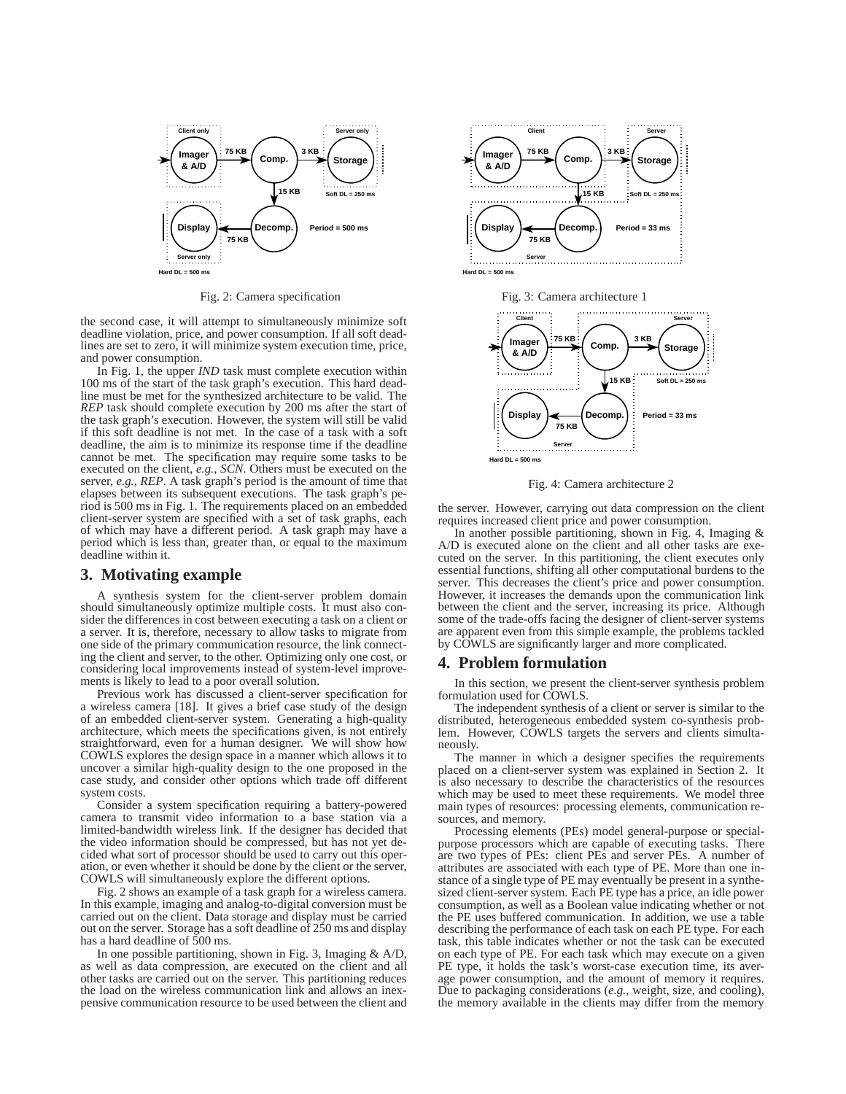

Fig. 2: Camera specification

the second case, it will attempt to simultaneously minimize soft deadline violation, price, and power consumption. If all soft deadlines are set to zero, it will minimize system execution time, price, and power consumption.

In Fig. 1, the upper *IND* task must complete execution within 100 ms of the start of the task graph's execution. This hard deadline must be met for the synthesized architecture to be valid. The *REP* task should complete execution by 200 ms after the start of the task graph's execution. However, the system will still be valid if this soft deadline is not met. In the case of a task with a soft deadline, the aim is to minimize its response time if the deadline cannot be met. The specification may require some tasks to be executed on the client, *e.g.*, *SCN*. Others must be executed on the server, *e.g.*, *REP*. A task graph's period is the amount of time that elapses between its subsequent executions. The task graph's period is 500 ms in Fig. 1. The requirements placed on an embedded client-server system are specified with a set of task graphs, each of which may have a different period. A task graph may have a period which is less than, greater than, or equal to the maximum deadline within it.

## **3. Motivating example**

A synthesis system for the client-server problem domain should simultaneously optimize multiple costs. It must also consider the differences in cost between executing a task on a client or a server. It is, therefore, necessary to allow tasks to migrate from one side of the primary communication resource, the link connecting the client and server, to the other. Optimizing only one cost, or considering local improvements instead of system-level improvements is likely to lead to a poor overall solution.

Previous work has discussed a client-server specification for a wireless camera [18]. It gives a brief case study of the design of an embedded client-server system. Generating a high-quality architecture, which meets the specifications given, is not entirely straightforward, even for a human designer. We will show how COWLS explores the design space in a manner which allows it to uncover a similar high-quality design to the one proposed in the case study, and consider other options which trade off different system costs.

Consider a system specification requiring a battery-powered camera to transmit video information to a base station via a limited-bandwidth wireless link. If the designer has decided that the video information should be compressed, but has not yet decided what sort of processor should be used to carry out this operation, or even whether it should be done by the client or the server, COWLS will simultaneously explore the different options.

Fig. 2 shows an example of a task graph for a wireless camera. In this example, imaging and analog-to-digital conversion must be carried out on the client. Data storage and display must be carried out on the server. Storage has a soft deadline of 250 ms and display has a hard deadline of 500 ms.

In one possible partitioning, shown in Fig. 3, Imaging & A/D, as well as data compression, are executed on the client and all other tasks are carried out on the server. This partitioning reduces the load on the wireless communication link and allows an inexpensive communication resource to be used between the client and



Fig. 3: Camera architecture 1



Fig. 4: Camera architecture 2

the server. However, carrying out data compression on the client requires increased client price and power consumption.

In another possible partitioning, shown in Fig. 4, Imaging  $\&$ A/D is executed alone on the client and all other tasks are executed on the server. In this partitioning, the client executes only essential functions, shifting all other computational burdens to the server. This decreases the client's price and power consumption. However, it increases the demands upon the communication link between the client and the server, increasing its price. Although some of the trade-offs facing the designer of client-server systems are apparent even from this simple example, the problems tackled by COWLS are significantly larger and more complicated.

#### **4. Problem formulation**

In this section, we present the client-server synthesis problem formulation used for COWLS.

The independent synthesis of a client or server is similar to the distributed, heterogeneous embedded system co-synthesis problem. However, COWLS targets the servers and clients simultaneously.

The manner in which a designer specifies the requirements placed on a client-server system was explained in Section 2. It is also necessary to describe the characteristics of the resources which may be used to meet these requirements. We model three main types of resources: processing elements, communication resources, and memory.

Processing elements (PEs) model general-purpose or specialpurpose processors which are capable of executing tasks. There are two types of PEs: client PEs and server PEs. A number of attributes are associated with each type of PE. More than one instance of a single type of PE may eventually be present in a synthesized client-server system. Each PE type has a price, an idle power consumption, as well as a Boolean value indicating whether or not the PE uses buffered communication. In addition, we use a table describing the performance of each task on each PE type. For each task, this table indicates whether or not the task can be executed on each type of PE. For each task which may execute on a given PE type, it holds the task's worst-case execution time, its average power consumption, and the amount of memory it requires. Due to packaging considerations (*e.g.*, weight, size, and cooling), the memory available in the clients may differ from the memory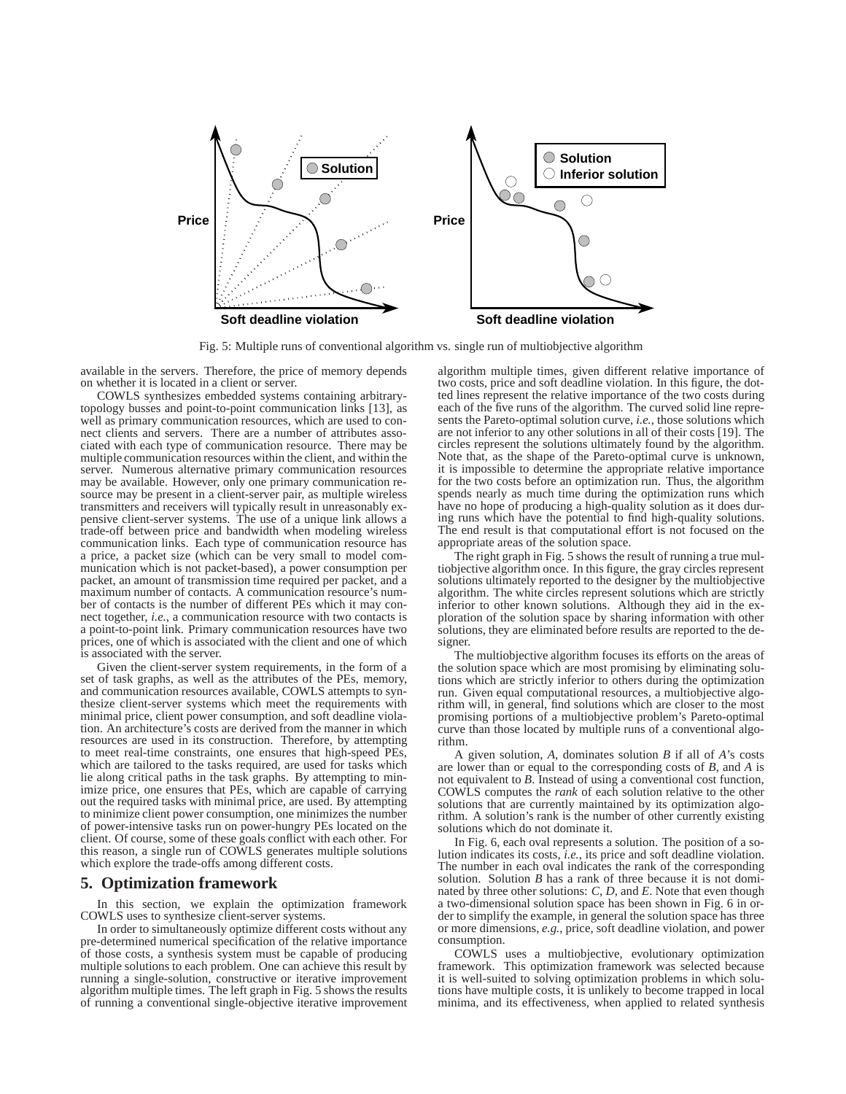

Fig. 5: Multiple runs of conventional algorithm vs. single run of multiobjective algorithm

available in the servers. Therefore, the price of memory depends on whether it is located in a client or server.

COWLS synthesizes embedded systems containing arbitrarytopology busses and point-to-point communication links [13], as well as primary communication resources, which are used to connect clients and servers. There are a number of attributes associated with each type of communication resource. There may be multiple communication resources within the client, and within the server. Numerous alternative primary communication resources may be available. However, only one primary communication resource may be present in a client-server pair, as multiple wireless transmitters and receivers will typically result in unreasonably expensive client-server systems. The use of a unique link allows a trade-off between price and bandwidth when modeling wireless communication links. Each type of communication resource has a price, a packet size (which can be very small to model communication which is not packet-based), a power consumption per packet, an amount of transmission time required per packet, and a maximum number of contacts. A communication resource's number of contacts is the number of different PEs which it may connect together, *i.e.*, a communication resource with two contacts is a point-to-point link. Primary communication resources have two prices, one of which is associated with the client and one of which is associated with the server.

Given the client-server system requirements, in the form of a set of task graphs, as well as the attributes of the PEs, memory, and communication resources available, COWLS attempts to synthesize client-server systems which meet the requirements with minimal price, client power consumption, and soft deadline violation. An architecture's costs are derived from the manner in which resources are used in its construction. Therefore, by attempting to meet real-time constraints, one ensures that high-speed PEs, which are tailored to the tasks required, are used for tasks which lie along critical paths in the task graphs. By attempting to minimize price, one ensures that PEs, which are capable of carrying out the required tasks with minimal price, are used. By attempting to minimize client power consumption, one minimizes the number of power-intensive tasks run on power-hungry PEs located on the client. Of course, some of these goals conflict with each other. For this reason, a single run of COWLS generates multiple solutions which explore the trade-offs among different costs.

#### **5. Optimization framework**

In this section, we explain the optimization framework COWLS uses to synthesize client-server systems.

In order to simultaneously optimize different costs without any pre-determined numerical specification of the relative importance of those costs, a synthesis system must be capable of producing multiple solutions to each problem. One can achieve this result by running a single-solution, constructive or iterative improvement algorithm multiple times. The left graph in Fig. 5 shows the results of running a conventional single-objective iterative improvement

algorithm multiple times, given different relative importance of two costs, price and soft deadline violation. In this figure, the dotted lines represent the relative importance of the two costs during each of the five runs of the algorithm. The curved solid line represents the Pareto-optimal solution curve, *i.e.*, those solutions which are not inferior to any other solutions in all of their costs [19]. The circles represent the solutions ultimately found by the algorithm. Note that, as the shape of the Pareto-optimal curve is unknown, it is impossible to determine the appropriate relative importance for the two costs before an optimization run. Thus, the algorithm spends nearly as much time during the optimization runs which have no hope of producing a high-quality solution as it does during runs which have the potential to find high-quality solutions. The end result is that computational effort is not focused on the appropriate areas of the solution space.

The right graph in Fig. 5 shows the result of running a true multiobjective algorithm once. In this figure, the gray circles represent solutions ultimately reported to the designer by the multiobjective algorithm. The white circles represent solutions which are strictly inferior to other known solutions. Although they aid in the exploration of the solution space by sharing information with other solutions, they are eliminated before results are reported to the designer.

The multiobjective algorithm focuses its efforts on the areas of the solution space which are most promising by eliminating solutions which are strictly inferior to others during the optimization run. Given equal computational resources, a multiobjective algorithm will, in general, find solutions which are closer to the most promising portions of a multiobjective problem's Pareto-optimal curve than those located by multiple runs of a conventional algorithm.

A given solution, *A*, dominates solution *B* if all of *A*'s costs are lower than or equal to the corresponding costs of *B*, and *A* is not equivalent to *B*. Instead of using a conventional cost function, COWLS computes the *rank* of each solution relative to the other solutions that are currently maintained by its optimization algorithm. A solution's rank is the number of other currently existing solutions which do not dominate it.

In Fig. 6, each oval represents a solution. The position of a solution indicates its costs, *i.e.*, its price and soft deadline violation. The number in each oval indicates the rank of the corresponding solution. Solution *B* has a rank of three because it is not dominated by three other solutions: *C*, *D*, and *E*. Note that even though a two-dimensional solution space has been shown in Fig. 6 in order to simplify the example, in general the solution space has three or more dimensions, *e.g.*, price, soft deadline violation, and power consumption.

COWLS uses a multiobjective, evolutionary optimization framework. This optimization framework was selected because it is well-suited to solving optimization problems in which solutions have multiple costs, it is unlikely to become trapped in local minima, and its effectiveness, when applied to related synthesis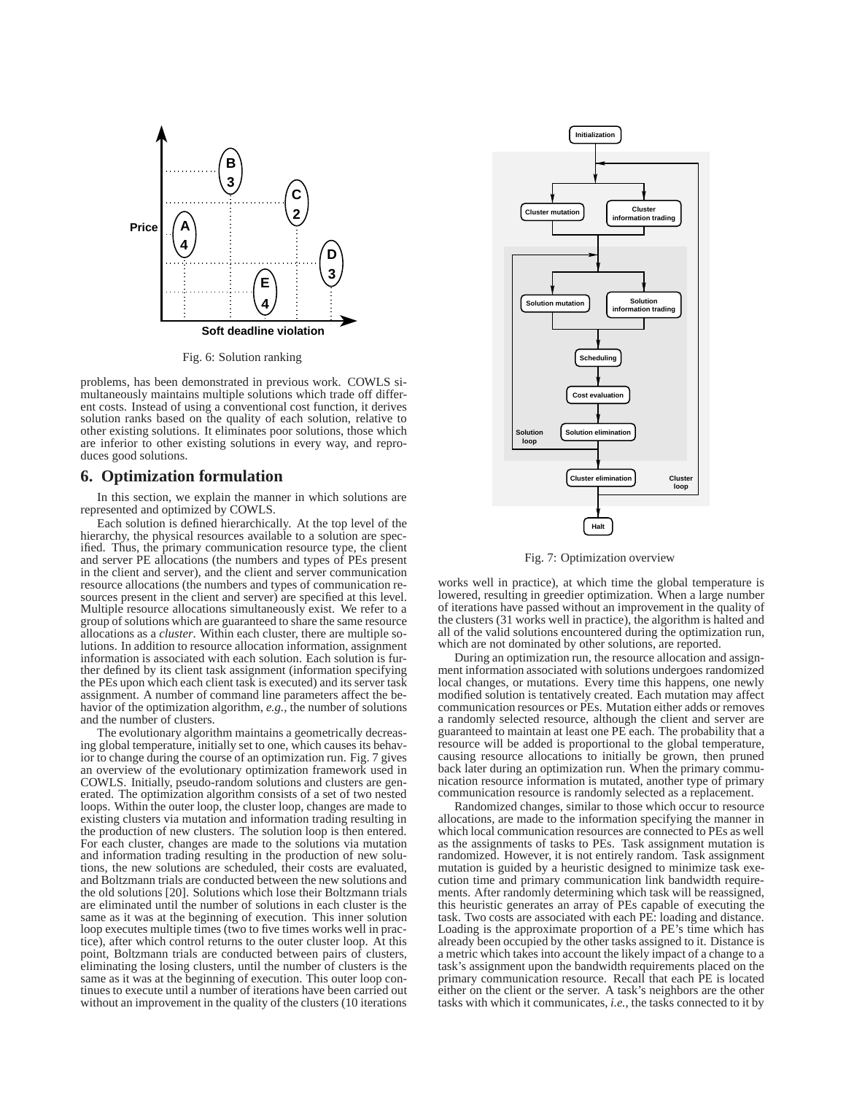

Fig. 6: Solution ranking

problems, has been demonstrated in previous work. COWLS simultaneously maintains multiple solutions which trade off different costs. Instead of using a conventional cost function, it derives solution ranks based on the quality of each solution, relative to other existing solutions. It eliminates poor solutions, those which are inferior to other existing solutions in every way, and reproduces good solutions.

#### **6. Optimization formulation**

In this section, we explain the manner in which solutions are represented and optimized by COWLS.

Each solution is defined hierarchically. At the top level of the hierarchy, the physical resources available to a solution are specified. Thus, the primary communication resource type, the client and server PE allocations (the numbers and types of PEs present in the client and server), and the client and server communication resource allocations (the numbers and types of communication resources present in the client and server) are specified at this level. Multiple resource allocations simultaneously exist. We refer to a group of solutions which are guaranteed to share the same resource allocations as a *cluster*. Within each cluster, there are multiple solutions. In addition to resource allocation information, assignment information is associated with each solution. Each solution is further defined by its client task assignment (information specifying the PEs upon which each client task is executed) and its server task assignment. A number of command line parameters affect the behavior of the optimization algorithm, *e.g.*, the number of solutions and the number of clusters.

The evolutionary algorithm maintains a geometrically decreasing global temperature, initially set to one, which causes its behavior to change during the course of an optimization run. Fig. 7 gives an overview of the evolutionary optimization framework used in COWLS. Initially, pseudo-random solutions and clusters are generated. The optimization algorithm consists of a set of two nested loops. Within the outer loop, the cluster loop, changes are made to existing clusters via mutation and information trading resulting in the production of new clusters. The solution loop is then entered. For each cluster, changes are made to the solutions via mutation and information trading resulting in the production of new solutions, the new solutions are scheduled, their costs are evaluated, and Boltzmann trials are conducted between the new solutions and the old solutions [20]. Solutions which lose their Boltzmann trials are eliminated until the number of solutions in each cluster is the same as it was at the beginning of execution. This inner solution loop executes multiple times (two to five times works well in practice), after which control returns to the outer cluster loop. At this point, Boltzmann trials are conducted between pairs of clusters, eliminating the losing clusters, until the number of clusters is the same as it was at the beginning of execution. This outer loop continues to execute until a number of iterations have been carried out without an improvement in the quality of the clusters (10 iterations



Fig. 7: Optimization overview

works well in practice), at which time the global temperature is lowered, resulting in greedier optimization. When a large number of iterations have passed without an improvement in the quality of the clusters (31 works well in practice), the algorithm is halted and all of the valid solutions encountered during the optimization run, which are not dominated by other solutions, are reported.

During an optimization run, the resource allocation and assignment information associated with solutions undergoes randomized local changes, or mutations. Every time this happens, one newly modified solution is tentatively created. Each mutation may affect communication resources or PEs. Mutation either adds or removes a randomly selected resource, although the client and server are guaranteed to maintain at least one PE each. The probability that a resource will be added is proportional to the global temperature, causing resource allocations to initially be grown, then pruned back later during an optimization run. When the primary communication resource information is mutated, another type of primary communication resource is randomly selected as a replacement.

Randomized changes, similar to those which occur to resource allocations, are made to the information specifying the manner in which local communication resources are connected to PEs as well as the assignments of tasks to PEs. Task assignment mutation is randomized. However, it is not entirely random. Task assignment mutation is guided by a heuristic designed to minimize task execution time and primary communication link bandwidth requirements. After randomly determining which task will be reassigned, this heuristic generates an array of PEs capable of executing the task. Two costs are associated with each PE: loading and distance. Loading is the approximate proportion of a PE's time which has already been occupied by the other tasks assigned to it. Distance is a metric which takes into account the likely impact of a change to a task's assignment upon the bandwidth requirements placed on the primary communication resource. Recall that each PE is located either on the client or the server. A task's neighbors are the other tasks with which it communicates, *i.e.*, the tasks connected to it by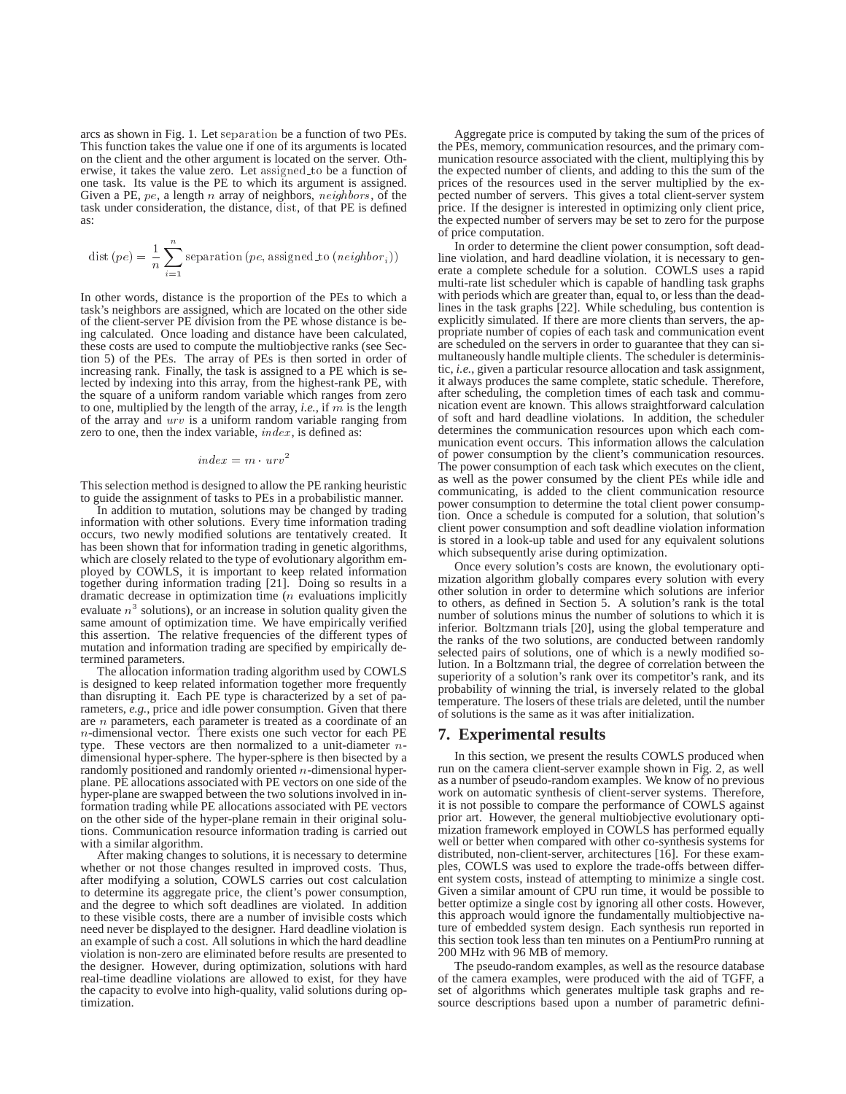arcs as shown in Fig. 1. Let separation be a function of two PEs. This function takes the value one if one of its arguments is located on the client and the other argument is located on the server. Otherwise, it takes the value zero. Let assigned to be a function of one task. Its value is the PE to which its argument is assigned. Given a PE,  $pe$ , a length  $n$  array of neighbors,  $neighbors$ , of the task under consideration, the distance, dist, of that PE is defined as:

$$
dist (pe) = \frac{1}{n} \sum_{i=1}^{n} \text{separation} (pe, assigned\_to (neighbor_i))
$$

In other words, distance is the proportion of the PEs to which a task's neighbors are assigned, which are located on the other side of the client-server PE division from the PE whose distance is being calculated. Once loading and distance have been calculated, these costs are used to compute the multiobjective ranks (see Section 5) of the PEs. The array of PEs is then sorted in order of increasing rank. Finally, the task is assigned to a PE which is selected by indexing into this array, from the highest-rank PE, with the square of a uniform random variable which ranges from zero to one, multiplied by the length of the array, *i.e.*, if <sup>m</sup> is the length of the array and urv is a uniform random variable ranging from zero to one, then the index variable,  $index$ , is defined as:

$$
index = m \cdot urv^2
$$

This selection method is designed to allow the PE ranking heuristic to guide the assignment of tasks to PEs in a probabilistic manner.

In addition to mutation, solutions may be changed by trading information with other solutions. Every time information trading occurs, two newly modified solutions are tentatively created. It has been shown that for information trading in genetic algorithms, which are closely related to the type of evolutionary algorithm employed by COWLS, it is important to keep related information together during information trading [21]. Doing so results in a dramatic decrease in optimization time  $(n$  evaluations implicitly evaluate  $n<sup>3</sup>$  solutions), or an increase in solution quality given the same amount of optimization time. We have empirically verified this assertion. The relative frequencies of the different types of mutation and information trading are specified by empirically determined parameters.

The allocation information trading algorithm used by COWLS is designed to keep related information together more frequently than disrupting it. Each PE type is characterized by a set of parameters, *e.g.*, price and idle power consumption. Given that there are  $n$  parameters, each parameter is treated as a coordinate of an <sup>n</sup>-dimensional vector. There exists one such vector for each PE type. These vectors are then normalized to a unit-diameter  $n$ dimensional hyper-sphere. The hyper-sphere is then bisected by a randomly positioned and randomly oriented *n*-dimensional hyperplane. PE allocations associated with PE vectors on one side of the hyper-plane are swapped between the two solutions involved in information trading while PE allocations associated with PE vectors on the other side of the hyper-plane remain in their original solutions. Communication resource information trading is carried out with a similar algorithm.

After making changes to solutions, it is necessary to determine whether or not those changes resulted in improved costs. Thus, after modifying a solution, COWLS carries out cost calculation to determine its aggregate price, the client's power consumption, and the degree to which soft deadlines are violated. In addition to these visible costs, there are a number of invisible costs which need never be displayed to the designer. Hard deadline violation is an example of such a cost. All solutions in which the hard deadline violation is non-zero are eliminated before results are presented to the designer. However, during optimization, solutions with hard real-time deadline violations are allowed to exist, for they have the capacity to evolve into high-quality, valid solutions during optimization.

Aggregate price is computed by taking the sum of the prices of the PEs, memory, communication resources, and the primary communication resource associated with the client, multiplying this by the expected number of clients, and adding to this the sum of the prices of the resources used in the server multiplied by the expected number of servers. This gives a total client-server system price. If the designer is interested in optimizing only client price, the expected number of servers may be set to zero for the purpose of price computation.

In order to determine the client power consumption, soft deadline violation, and hard deadline violation, it is necessary to generate a complete schedule for a solution. COWLS uses a rapid multi-rate list scheduler which is capable of handling task graphs with periods which are greater than, equal to, or less than the deadlines in the task graphs [22]. While scheduling, bus contention is explicitly simulated. If there are more clients than servers, the appropriate number of copies of each task and communication event are scheduled on the servers in order to guarantee that they can simultaneously handle multiple clients. The scheduler is deterministic, *i.e.*, given a particular resource allocation and task assignment, it always produces the same complete, static schedule. Therefore, after scheduling, the completion times of each task and communication event are known. This allows straightforward calculation of soft and hard deadline violations. In addition, the scheduler determines the communication resources upon which each communication event occurs. This information allows the calculation of power consumption by the client's communication resources. The power consumption of each task which executes on the client, as well as the power consumed by the client PEs while idle and communicating, is added to the client communication resource power consumption to determine the total client power consumption. Once a schedule is computed for a solution, that solution's client power consumption and soft deadline violation information is stored in a look-up table and used for any equivalent solutions which subsequently arise during optimization.

Once every solution's costs are known, the evolutionary optimization algorithm globally compares every solution with every other solution in order to determine which solutions are inferior to others, as defined in Section 5. A solution's rank is the total number of solutions minus the number of solutions to which it is inferior. Boltzmann trials [20], using the global temperature and the ranks of the two solutions, are conducted between randomly selected pairs of solutions, one of which is a newly modified solution. In a Boltzmann trial, the degree of correlation between the superiority of a solution's rank over its competitor's rank, and its probability of winning the trial, is inversely related to the global temperature. The losers of these trials are deleted, until the number of solutions is the same as it was after initialization.

## **7. Experimental results**

In this section, we present the results COWLS produced when run on the camera client-server example shown in Fig. 2, as well as a number of pseudo-random examples. We know of no previous work on automatic synthesis of client-server systems. Therefore, it is not possible to compare the performance of COWLS against prior art. However, the general multiobjective evolutionary optimization framework employed in COWLS has performed equally well or better when compared with other co-synthesis systems for distributed, non-client-server, architectures [16]. For these examples, COWLS was used to explore the trade-offs between different system costs, instead of attempting to minimize a single cost. Given a similar amount of CPU run time, it would be possible to better optimize a single cost by ignoring all other costs. However, this approach would ignore the fundamentally multiobjective nature of embedded system design. Each synthesis run reported in this section took less than ten minutes on a PentiumPro running at 200 MHz with 96 MB of memory.

The pseudo-random examples, as well as the resource database of the camera examples, were produced with the aid of TGFF, a set of algorithms which generates multiple task graphs and resource descriptions based upon a number of parametric defini-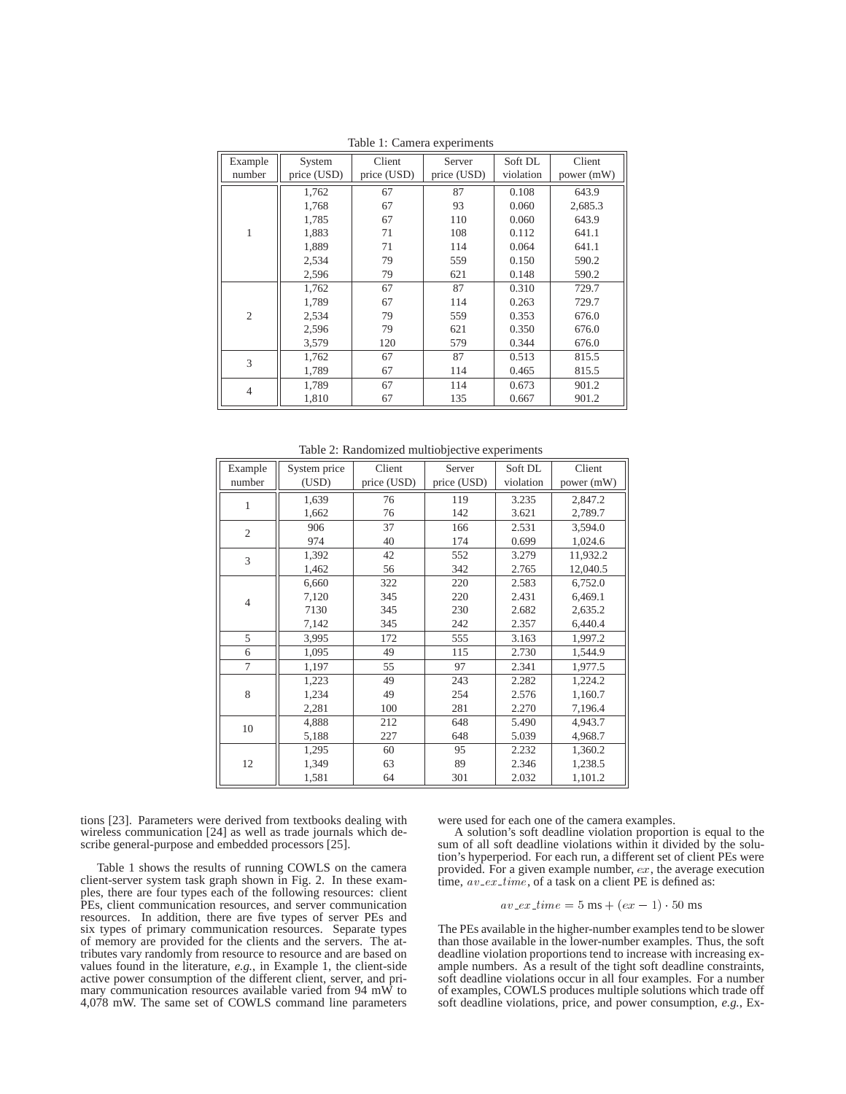| Example        | System      | Client      | Server      | Soft DL   | Client     |
|----------------|-------------|-------------|-------------|-----------|------------|
| number         | price (USD) | price (USD) | price (USD) | violation | power (mW) |
| 1              | 1,762       | 67          | 87          | 0.108     | 643.9      |
|                | 1,768       | 67          | 93          | 0.060     | 2,685.3    |
|                | 1,785       | 67          | 110         | 0.060     | 643.9      |
|                | 1,883       | 71          | 108         | 0.112     | 641.1      |
|                | 1,889       | 71          | 114         | 0.064     | 641.1      |
|                | 2,534       | 79          | 559         | 0.150     | 590.2      |
|                | 2,596       | 79          | 621         | 0.148     | 590.2      |
| $\overline{c}$ | 1,762       | 67          | 87          | 0.310     | 729.7      |
|                | 1,789       | 67          | 114         | 0.263     | 729.7      |
|                | 2,534       | 79          | 559         | 0.353     | 676.0      |
|                | 2,596       | 79          | 621         | 0.350     | 676.0      |
|                | 3,579       | 120         | 579         | 0.344     | 676.0      |
| 3              | 1,762       | 67          | 87          | 0.513     | 815.5      |
|                | 1,789       | 67          | 114         | 0.465     | 815.5      |
| $\overline{4}$ | 1,789       | 67          | 114         | 0.673     | 901.2      |
|                | 1,810       | 67          | 135         | 0.667     | 901.2      |

Table 1: Camera experiments

Table 2: Randomized multiobjective experiments

| Example        | System price | Client      | Server      | Soft DL   | Client     |
|----------------|--------------|-------------|-------------|-----------|------------|
| number         | (USD)        | price (USD) | price (USD) | violation | power (mW) |
| 1              | 1,639        | 76          | 119         | 3.235     | 2,847.2    |
|                | 1,662        | 76          | 142         | 3.621     | 2,789.7    |
| $\overline{2}$ | 906          | 37          | 166         | 2.531     | 3,594.0    |
|                | 974          | 40          | 174         | 0.699     | 1,024.6    |
| 3              | 1,392        | 42          | 552         | 3.279     | 11,932.2   |
|                | 1,462        | 56          | 342         | 2.765     | 12,040.5   |
| $\overline{4}$ | 6,660        | 322         | 220         | 2.583     | 6,752.0    |
|                | 7,120        | 345         | 220         | 2.431     | 6,469.1    |
|                | 7130         | 345         | 230         | 2.682     | 2,635.2    |
|                | 7,142        | 345         | 242         | 2.357     | 6,440.4    |
| 5              | 3,995        | 172         | 555         | 3.163     | 1,997.2    |
| 6              | 1,095        | 49          | 115         | 2.730     | 1,544.9    |
| 7              | 1,197        | 55          | 97          | 2.341     | 1,977.5    |
| 8              | 1,223        | 49          | 243         | 2.282     | 1,224.2    |
|                | 1,234        | 49          | 254         | 2.576     | 1,160.7    |
|                | 2,281        | 100         | 281         | 2.270     | 7,196.4    |
| 10             | 4,888        | 212         | 648         | 5.490     | 4,943.7    |
|                | 5,188        | 227         | 648         | 5.039     | 4,968.7    |
| 12             | 1,295        | 60          | 95          | 2.232     | 1,360.2    |
|                | 1,349        | 63          | 89          | 2.346     | 1,238.5    |
|                | 1,581        | 64          | 301         | 2.032     | 1,101.2    |

tions [23]. Parameters were derived from textbooks dealing with wireless communication [24] as well as trade journals which describe general-purpose and embedded processors [25].

Table 1 shows the results of running COWLS on the camera client-server system task graph shown in Fig. 2. In these examples, there are four types each of the following resources: client PEs, client communication resources, and server communication resources. In addition, there are five types of server PEs and six types of primary communication resources. Separate types of memory are provided for the clients and the servers. The attributes vary randomly from resource to resource and are based on values found in the literature, *e.g.*, in Example 1, the client-side active power consumption of the different client, server, and primary communication resources available varied from 94 mW to 4,078 mW. The same set of COWLS command line parameters

were used for each one of the camera examples.

A solution's soft deadline violation proportion is equal to the sum of all soft deadline violations within it divided by the solution's hyperperiod. For each run, a different set of client PEs were provided. For a given example number, ex, the average execution time,  $av\_ex\_time$ , of a task on a client PE is defined as:

$$
av\_ex\_time = 5 \text{ ms} + (ex - 1) \cdot 50 \text{ ms}
$$

The PEs available in the higher-number examples tend to be slower than those available in the lower-number examples. Thus, the soft deadline violation proportions tend to increase with increasing example numbers. As a result of the tight soft deadline constraints, soft deadline violations occur in all four examples. For a number of examples, COWLS produces multiple solutions which trade off soft deadline violations, price, and power consumption, *e.g.*, Ex